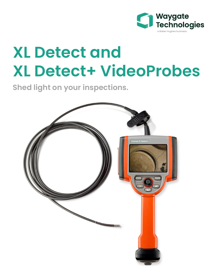

# **XL Detect and XL Detect+ VideoProbes**

**Shed light on your inspections.**

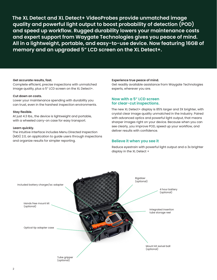**The XL Detect and XL Detect+ VideoProbes provide unmatched image quality and powerful light output to boost probability of detection (POD) and speed up workflow. Rugged durability lowers your maintenance costs and expert support from Waygate Technologies gives you peace of mind. All in a lightweight, portable, and easy-to-use device. Now featuring 16GB of memory and an upgraded 5" LCD screen on the XL Detect+.** 

#### **Get accurate results, fast.**

Complete efficient, precise inspections with unmatched image quality, plus a 5" LCD screen on the XL Detect+.

#### **Cut down on costs.**

Lower your maintenance spending with durability you can trust, even in the harshest inspection environments.

#### **Stay flexible.**

At just 4.3 lbs., the device is lightweight and portable, with a wheeled carry-on case for easy transport.

#### **Learn quickly.**

The intuitive interface includes Menu Directed Inspection (MDI) 2.0, an application to guide users through inspections and organize results for simpler reporting.

#### **Experience true peace of mind.**

Get readily available assistance from Waygate Technologies experts, wherever you are.

#### **Now with a 5" LCD screen for clear-cut inspections.**

The new XL Detect+ display is 85% larger and 3X brighter, with crystal clear image quality unmatched in the industry. Paired with advanced optics and powerful light output, that means sharper images right on your device. Because when you can see clearly, you improve POD, speed up your workflow, and deliver results with confidence.

#### **Believe it when you see it**

Reduce eyestrain with powerful light output and a 3x brighter display in the XL Detect +

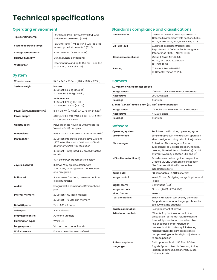# **Technical specifications**

# **Operating environment**

| Tip operating temp:       | -25°C to 100°C (-13°F to 212°F) Reduced<br>articulation below 0°C (32°F)        |  |  |  |  |  |
|---------------------------|---------------------------------------------------------------------------------|--|--|--|--|--|
| System operating temp:    | -20°C to 46°C (-4°F to 115°F) LCD requires<br>warm-up period below 0°C (32°F)   |  |  |  |  |  |
| Storage temperature:      | $-25^{\circ}$ C to 60 $^{\circ}$ C ( $-13^{\circ}$ F to 140 $^{\circ}$ F)       |  |  |  |  |  |
| <b>Relative humidity:</b> | 95% max, non-condensing                                                         |  |  |  |  |  |
| Waterproof:               | Insertion tube and tip to 14.7 psi (1 bar, 10.2)<br>m of H2 O, 33.5 ft of H2 O) |  |  |  |  |  |

# **System**

| <b>Wheeled case:</b>        | 54.9 x 34.6 x 23.6cm (21.61 x 13.62 x 9.29in)                                                                                                                                 |  |  |  |  |
|-----------------------------|-------------------------------------------------------------------------------------------------------------------------------------------------------------------------------|--|--|--|--|
| System weight:              | In case:<br>XL Detect: 6.50 kg (14.30 lb)<br>XL Detect+: 8.39 kg (18.5 lb)<br>Without case:<br>XL Detect: 1.73 kg (3.8 lb)<br>XL Detect+: 1.98 kg (4.37 lb)                   |  |  |  |  |
| Power (Lithium Ion battery) | 8.4 V, 38 Wh (2 hour) 8.4 V, 75 Wh (4 hour)                                                                                                                                   |  |  |  |  |
| Power supply:               | AC Input: 100-240 VAC, 50-60 Hz, 1.5 A Max<br>DC Output: 9.5 V, 6.0 A                                                                                                         |  |  |  |  |
| Construction:               | Polycarbonate housings with integrated<br>Versalon <sup>™</sup> (JP) bumpers                                                                                                  |  |  |  |  |
| Dimensions:                 | $9.53 \times 13.34 \times 34.29$ cm (3.75 x 5.25 x 13.50 in)                                                                                                                  |  |  |  |  |
| <b>LCD</b> monitor:         | XL Detect: Integrated transflective 9.40 cm<br>(3.70 in) active matrix VGA color LCD with<br>XpertBright, 640 x 480 resolution<br>XL Detect+: Integrated 12.7 cm (5.0) active |  |  |  |  |
|                             | matrix                                                                                                                                                                        |  |  |  |  |
|                             | VGA color LCD, Transmissive display.                                                                                                                                          |  |  |  |  |
| Joystick control:           | 360° All-Way tip articulation with<br>XpertSteer, bump gesture, menu access<br>and navigation                                                                                 |  |  |  |  |
| <b>Button set:</b>          | Access user functions, measurement and<br>digital functions                                                                                                                   |  |  |  |  |
| Audio:                      | Integrated 2.5 mm headset/microphone<br>jack                                                                                                                                  |  |  |  |  |
| Internal memory:            | XL Detect: 4 GB Flash memory                                                                                                                                                  |  |  |  |  |
|                             | XL Detect+: 16 GB Flash memory                                                                                                                                                |  |  |  |  |
| Data I/O ports:             | Two USB® 2.0 ports                                                                                                                                                            |  |  |  |  |
| Video port:                 | VGA Video Out                                                                                                                                                                 |  |  |  |  |
| <b>Brightness control:</b>  | Auto and Variable                                                                                                                                                             |  |  |  |  |
| <b>Illumination type:</b>   | White LED                                                                                                                                                                     |  |  |  |  |
| Long exposure:              | Via auto and manual mode                                                                                                                                                      |  |  |  |  |
| White balance:              | Factory default or user defined                                                                                                                                               |  |  |  |  |

# **Standards compliance and classifications**

| MIL-STD-810G                | Tested to United States Department of<br>Defense Environment Tests Sections 506.5,<br>507.5, 509.5, 510.5, 511.5, 514.6, 516.6, 521.3 |
|-----------------------------|---------------------------------------------------------------------------------------------------------------------------------------|
| MIL-STD-461F                | XL Detect: Tested to United States<br>Department of Defense Electromagnetic<br>Interference RS103 - ABOVE DECK                        |
| <b>Standards compliance</b> | Group 1, Class A: EN61326-1<br>UL, IEC, EN CSA-C22.2:61010-1<br>UN/DOT TI-T8                                                          |
| IP rating                   | XL Detect: Tested to IP55<br>XI Detect+: Tested to IP65                                                                               |

## **Camera**

## **4.0 mm (0.157 in) diameter probes**

| Image sensor:                                           | 1/10 inch Color SUPER HAD CCD camera |  |  |  |  |
|---------------------------------------------------------|--------------------------------------|--|--|--|--|
| Pixel count:                                            | 290,000 pixels                       |  |  |  |  |
| Housing:                                                | Titanium                             |  |  |  |  |
| 6.1 mm (0.242 in) and 8.4 mm (0.331 in) diameter probes |                                      |  |  |  |  |
| Image sensor:                                           | 1/6 inch Color SUPER HAD™ CCD camera |  |  |  |  |
| Pixel count:                                            | 440,000 pixels                       |  |  |  |  |
| Housing:                                                | Titanium                             |  |  |  |  |
|                                                         |                                      |  |  |  |  |

#### **Software**

| <b>Operating system:</b>     | Real-time multi-tasking operating system                                                                                                                                                                                                                                                                                   |  |  |  |
|------------------------------|----------------------------------------------------------------------------------------------------------------------------------------------------------------------------------------------------------------------------------------------------------------------------------------------------------------------------|--|--|--|
| User interface:              | Simple drop-down menu-driven operation<br>Menu navigation using articulation joystick                                                                                                                                                                                                                                      |  |  |  |
| File manager:                | Embedded file manager software<br>supporting: File & Folder creation, naming,<br>deleting Store to internal Flash (C:\) or USB<br>ThumbDrive Copy between USB and C:\                                                                                                                                                      |  |  |  |
| MDI software (optional):     | Provides user defined guided inspection<br>Creates DICONDE compatible inspection<br>files Creates MS Word® compatible<br>inspection reports                                                                                                                                                                                |  |  |  |
| Audio data:                  | PC compatible (.AAC) file format                                                                                                                                                                                                                                                                                           |  |  |  |
| Image control:               | Invert, Zoom (5X digital) Image Capture and<br>Recall                                                                                                                                                                                                                                                                      |  |  |  |
| Digital zoom:                | Continuous (5.0X)                                                                                                                                                                                                                                                                                                          |  |  |  |
| Image formats:               | Bitmap (.BMP), JPEG (.JPG)                                                                                                                                                                                                                                                                                                 |  |  |  |
| Video format:                | MPEG 4                                                                                                                                                                                                                                                                                                                     |  |  |  |
| <b>Text annotation:</b>      | Built-in full screen text overlay generator<br>Supports international language character<br>sets 100 text line capacity                                                                                                                                                                                                    |  |  |  |
| <b>Graphic annotation:</b>   | User placement of arrows                                                                                                                                                                                                                                                                                                   |  |  |  |
| <b>Articulation control:</b> | "Steer & Stay" articulation lock/fine<br>articulation Tip "Home" return to neutral<br>forward-tip orientation Userselectable<br>fine or coarse control XpertSteer<br>probe articulation offers quick steering<br>responsiveness for tight probe control -<br>bump steering enables slight adjustments<br>to probe position |  |  |  |
| <b>Software updates:</b>     | Field updateable via USB ThumbDrive                                                                                                                                                                                                                                                                                        |  |  |  |
| Languages:                   | English, Spanish, French, German, Italian,<br>Russian, Japanese, Korean, Portuguese,<br>Chinese, Polish                                                                                                                                                                                                                    |  |  |  |